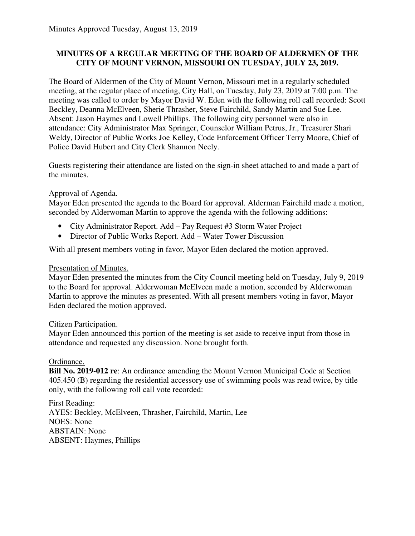## **MINUTES OF A REGULAR MEETING OF THE BOARD OF ALDERMEN OF THE CITY OF MOUNT VERNON, MISSOURI ON TUESDAY, JULY 23, 2019.**

The Board of Aldermen of the City of Mount Vernon, Missouri met in a regularly scheduled meeting, at the regular place of meeting, City Hall, on Tuesday, July 23, 2019 at 7:00 p.m. The meeting was called to order by Mayor David W. Eden with the following roll call recorded: Scott Beckley, Deanna McElveen, Sherie Thrasher, Steve Fairchild, Sandy Martin and Sue Lee. Absent: Jason Haymes and Lowell Phillips. The following city personnel were also in attendance: City Administrator Max Springer, Counselor William Petrus, Jr., Treasurer Shari Weldy, Director of Public Works Joe Kelley, Code Enforcement Officer Terry Moore, Chief of Police David Hubert and City Clerk Shannon Neely.

Guests registering their attendance are listed on the sign-in sheet attached to and made a part of the minutes.

## Approval of Agenda.

Mayor Eden presented the agenda to the Board for approval. Alderman Fairchild made a motion, seconded by Alderwoman Martin to approve the agenda with the following additions:

- City Administrator Report. Add Pay Request #3 Storm Water Project
- Director of Public Works Report. Add Water Tower Discussion

With all present members voting in favor, Mayor Eden declared the motion approved.

### Presentation of Minutes.

Mayor Eden presented the minutes from the City Council meeting held on Tuesday, July 9, 2019 to the Board for approval. Alderwoman McElveen made a motion, seconded by Alderwoman Martin to approve the minutes as presented. With all present members voting in favor, Mayor Eden declared the motion approved.

#### Citizen Participation.

Mayor Eden announced this portion of the meeting is set aside to receive input from those in attendance and requested any discussion. None brought forth.

## Ordinance.

**Bill No. 2019-012 re**: An ordinance amending the Mount Vernon Municipal Code at Section 405.450 (B) regarding the residential accessory use of swimming pools was read twice, by title only, with the following roll call vote recorded:

First Reading: AYES: Beckley, McElveen, Thrasher, Fairchild, Martin, Lee NOES: None ABSTAIN: None ABSENT: Haymes, Phillips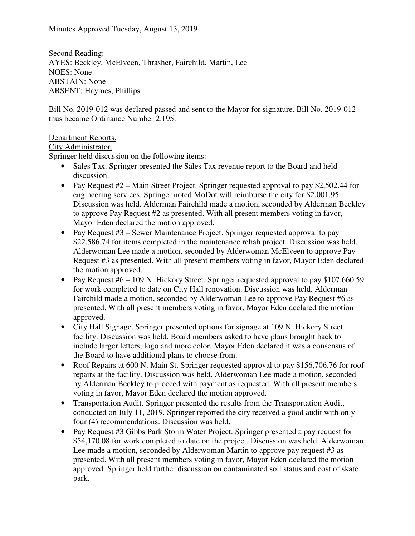Second Reading: AYES: Beckley, McElveen, Thrasher, Fairchild, Martin, Lee NOES: None ABSTAIN: None ABSENT: Haymes, Phillips

Bill No. 2019-012 was declared passed and sent to the Mayor for signature. Bill No. 2019-012 thus became Ordinance Number 2.195.

## Department Reports.

### City Administrator.

Springer held discussion on the following items:

- Sales Tax. Springer presented the Sales Tax revenue report to the Board and held discussion.
- Pay Request #2 Main Street Project. Springer requested approval to pay \$2,502.44 for engineering services. Springer noted MoDot will reimburse the city for \$2,001.95. Discussion was held. Alderman Fairchild made a motion, seconded by Alderman Beckley to approve Pay Request #2 as presented. With all present members voting in favor, Mayor Eden declared the motion approved.
- Pay Request #3 Sewer Maintenance Project. Springer requested approval to pay \$22,586.74 for items completed in the maintenance rehab project. Discussion was held. Alderwoman Lee made a motion, seconded by Alderwoman McElveen to approve Pay Request #3 as presented. With all present members voting in favor, Mayor Eden declared the motion approved.
- Pay Request  $#6 109$  N. Hickory Street. Springer requested approval to pay \$107,660.59 for work completed to date on City Hall renovation. Discussion was held. Alderman Fairchild made a motion, seconded by Alderwoman Lee to approve Pay Request #6 as presented. With all present members voting in favor, Mayor Eden declared the motion approved.
- City Hall Signage. Springer presented options for signage at 109 N. Hickory Street facility. Discussion was held. Board members asked to have plans brought back to include larger letters, logo and more color. Mayor Eden declared it was a consensus of the Board to have additional plans to choose from.
- Roof Repairs at 600 N. Main St. Springer requested approval to pay \$156,706.76 for roof repairs at the facility. Discussion was held. Alderwoman Lee made a motion, seconded by Alderman Beckley to proceed with payment as requested. With all present members voting in favor, Mayor Eden declared the motion approved.
- Transportation Audit. Springer presented the results from the Transportation Audit, conducted on July 11, 2019. Springer reported the city received a good audit with only four (4) recommendations. Discussion was held.
- Pay Request #3 Gibbs Park Storm Water Project. Springer presented a pay request for \$54,170.08 for work completed to date on the project. Discussion was held. Alderwoman Lee made a motion, seconded by Alderwoman Martin to approve pay request #3 as presented. With all present members voting in favor, Mayor Eden declared the motion approved. Springer held further discussion on contaminated soil status and cost of skate park.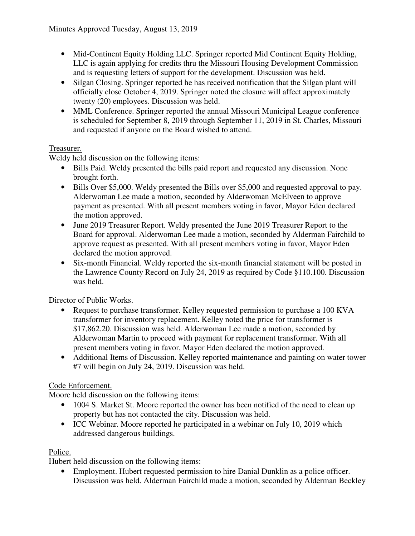- Mid-Continent Equity Holding LLC. Springer reported Mid Continent Equity Holding, LLC is again applying for credits thru the Missouri Housing Development Commission and is requesting letters of support for the development. Discussion was held.
- Silgan Closing. Springer reported he has received notification that the Silgan plant will officially close October 4, 2019. Springer noted the closure will affect approximately twenty (20) employees. Discussion was held.
- MML Conference. Springer reported the annual Missouri Municipal League conference is scheduled for September 8, 2019 through September 11, 2019 in St. Charles, Missouri and requested if anyone on the Board wished to attend.

## Treasurer.

Weldy held discussion on the following items:

- Bills Paid. Weldy presented the bills paid report and requested any discussion. None brought forth.
- Bills Over \$5,000. Weldy presented the Bills over \$5,000 and requested approval to pay. Alderwoman Lee made a motion, seconded by Alderwoman McElveen to approve payment as presented. With all present members voting in favor, Mayor Eden declared the motion approved.
- June 2019 Treasurer Report. Weldy presented the June 2019 Treasurer Report to the Board for approval. Alderwoman Lee made a motion, seconded by Alderman Fairchild to approve request as presented. With all present members voting in favor, Mayor Eden declared the motion approved.
- Six-month Financial. Weldy reported the six-month financial statement will be posted in the Lawrence County Record on July 24, 2019 as required by Code §110.100. Discussion was held.

Director of Public Works.

- Request to purchase transformer. Kelley requested permission to purchase a 100 KVA transformer for inventory replacement. Kelley noted the price for transformer is \$17,862.20. Discussion was held. Alderwoman Lee made a motion, seconded by Alderwoman Martin to proceed with payment for replacement transformer. With all present members voting in favor, Mayor Eden declared the motion approved.
- Additional Items of Discussion. Kelley reported maintenance and painting on water tower #7 will begin on July 24, 2019. Discussion was held.

# Code Enforcement.

Moore held discussion on the following items:

- 1004 S. Market St. Moore reported the owner has been notified of the need to clean up property but has not contacted the city. Discussion was held.
- ICC Webinar. Moore reported he participated in a webinar on July 10, 2019 which addressed dangerous buildings.

## Police.

Hubert held discussion on the following items:

• Employment. Hubert requested permission to hire Danial Dunklin as a police officer. Discussion was held. Alderman Fairchild made a motion, seconded by Alderman Beckley